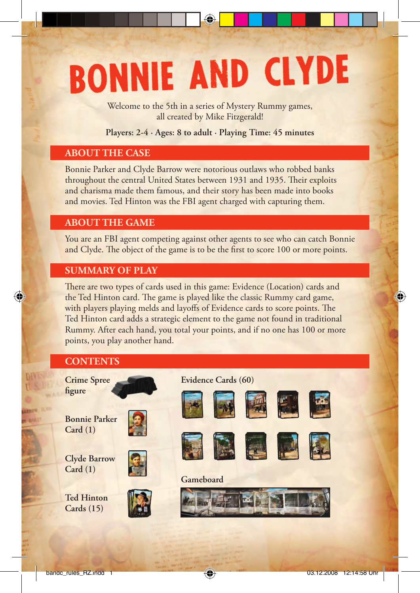# **BONNIE AND CLYDE**

Welcome to the 5th in a series of Mystery Rummy games, all created by Mike Fitzgerald!

#### **Players: 2-4 · Ages: 8 to adult · Playing Time: 45 minutes**

## **ABOUT THE CASE**

Bonnie Parker and Clyde Barrow were notorious outlaws who robbed banks throughout the central United States between 1931 and 1935. Their exploits and charisma made them famous, and their story has been made into books and movies. Ted Hinton was the FBI agent charged with capturing them.

## **ABOUT THE GAME**

You are an FBI agent competing against other agents to see who can catch Bonnie and Clyde. The object of the game is to be the first to score 100 or more points.

## **SUMMARY OF PLAY**

There are two types of cards used in this game: Evidence (Location) cards and the Ted Hinton card. The game is played like the classic Rummy card game, with players playing melds and layoffs of Evidence cards to score points. The Ted Hinton card adds a strategic element to the game not found in traditional Rummy. After each hand, you total your points, and if no one has 100 or more points, you play another hand.

# **CONTENTS**

€

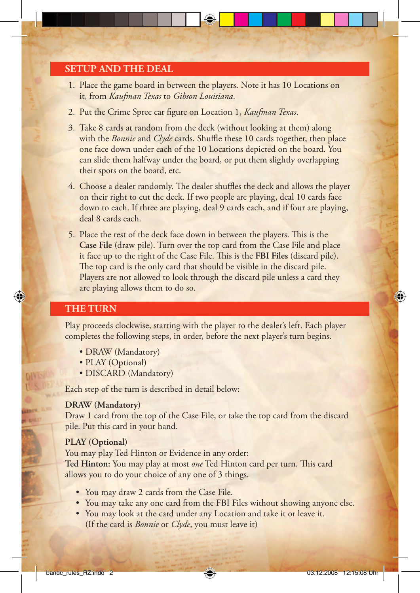## **SETUP AND THE DEAL**

- 1. Place the game board in between the players. Note it has 10 Locations on it, from *Kaufman Texas* to *Gibson Louisiana*.
- 2. Put the Crime Spree car figure on Location 1, *Kaufman Texas*.
- 3. Take 8 cards at random from the deck (without looking at them) along with the *Bonnie* and *Clyde* cards. Shuffle these 10 cards together, then place one face down under each of the 10 Locations depicted on the board. You can slide them halfway under the board, or put them slightly overlapping their spots on the board, etc.
- 4. Choose a dealer randomly. The dealer shuffles the deck and allows the player on their right to cut the deck. If two people are playing, deal 10 cards face down to each. If three are playing, deal 9 cards each, and if four are playing, deal 8 cards each.
- 5. Place the rest of the deck face down in between the players. This is the **Case File** (draw pile). Turn over the top card from the Case File and place it face up to the right of the Case File. This is the **FBI Files** (discard pile). The top card is the only card that should be visible in the discard pile. Players are not allowed to look through the discard pile unless a card they are playing allows them to do so.

#### **THE TURN**

Play proceeds clockwise, starting with the player to the dealer's left. Each player completes the following steps, in order, before the next player's turn begins.

- DRAW (Mandatory)
- PLAY (Optional)
- DISCARD (Mandatory)

Each step of the turn is described in detail below:

#### **DRAW (Mandatory)**

Draw 1 card from the top of the Case File, or take the top card from the discard pile. Put this card in your hand.

#### **PLAY (Optional)**

You may play Ted Hinton or Evidence in any order: Ted Hinton: You may play at most *one* Ted Hinton card per turn. This card allows you to do your choice of any one of 3 things.

- You may draw 2 cards from the Case File.
- You may take any one card from the FBI Files without showing anyone else.
- You may look at the card under any Location and take it or leave it. (If the card is *Bonnie* or *Clyde*, you must leave it)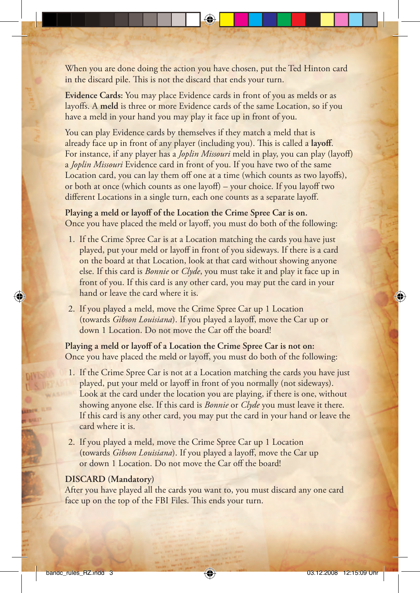When you are done doing the action you have chosen, put the Ted Hinton card in the discard pile. This is not the discard that ends your turn.

**Evidence Cards:** You may place Evidence cards in front of you as melds or as layoffs. A **meld** is three or more Evidence cards of the same Location, so if you have a meld in your hand you may play it face up in front of you.

You can play Evidence cards by themselves if they match a meld that is already face up in front of any player (including you). This is called a layoff. For instance, if any player has a *Joplin Missouri* meld in play, you can play (layoff) a *Joplin Missouri* Evidence card in front of you. If you have two of the same Location card, you can lay them off one at a time (which counts as two layoffs), or both at once (which counts as one layoff ) – your choice. If you layoff two different Locations in a single turn, each one counts as a separate layoff.

**Playing a meld or layoff of the Location the Crime Spree Car is on.** Once you have placed the meld or layoff, you must do both of the following:

- 1. If the Crime Spree Car is at a Location matching the cards you have just played, put your meld or layoff in front of you sideways. If there is a card on the board at that Location, look at that card without showing anyone else. If this card is *Bonnie* or *Clyde*, you must take it and play it face up in front of you. If this card is any other card, you may put the card in your hand or leave the card where it is.
- 2. If you played a meld, move the Crime Spree Car up 1 Location (towards *Gibson Louisiana*). If you played a layoff, move the Car up or down 1 Location. Do not move the Car off the board!

**Playing a meld or layoff of a Location the Crime Spree Car is not on:** Once you have placed the meld or layoff, you must do both of the following:

- 1. If the Crime Spree Car is not at a Location matching the cards you have just played, put your meld or layoff in front of you normally (not sideways). Look at the card under the location you are playing, if there is one, without showing anyone else. If this card is *Bonnie* or *Clyde* you must leave it there. If this card is any other card, you may put the card in your hand or leave the card where it is.
- 2. If you played a meld, move the Crime Spree Car up 1 Location (towards *Gibson Louisiana*). If you played a layoff, move the Car up or down 1 Location. Do not move the Car off the board!

#### **DISCARD (Mandatory)**

After you have played all the cards you want to, you must discard any one card face up on the top of the FBI Files. This ends your turn.